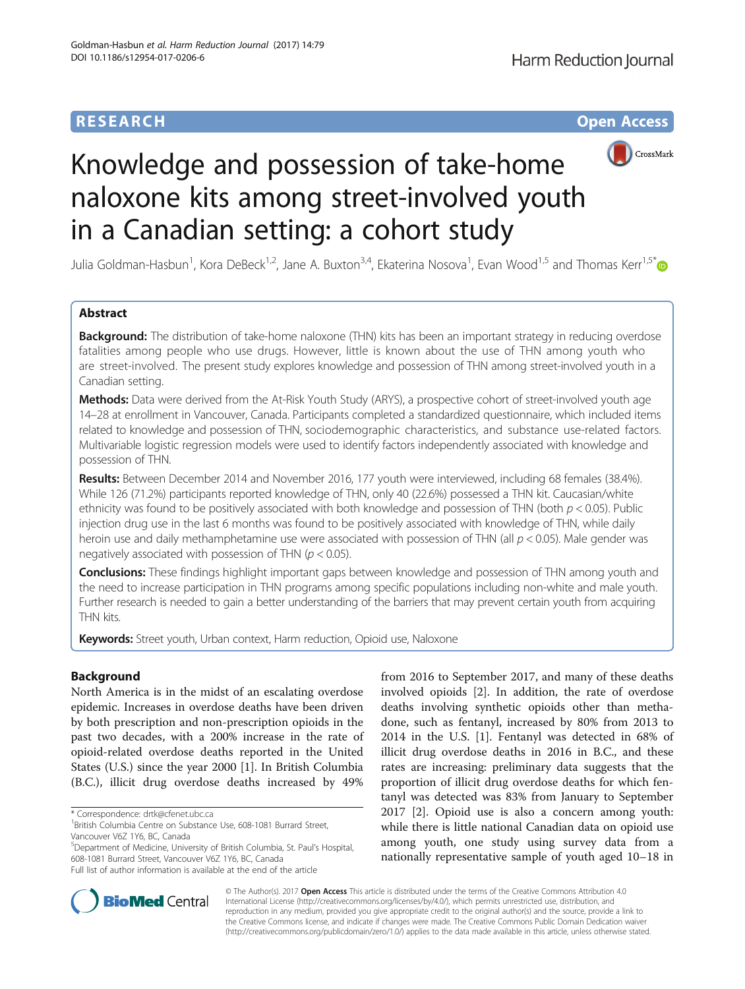# **RESEARCH CHINESE ARCH CHINESE ARCH CHINESE ARCH <b>CHINESE ARCH CHINESE ARCH CHINESE ARCH <b>CHINESE CHINESE**



# Knowledge and possession of take-home naloxone kits among street-involved youth in a Canadian setting: a cohort study

Julia Goldman-Hasbun<sup>1</sup>, Kora DeBeck<sup>1,2</sup>, Jane A. Buxton<sup>3,4</sup>, Ekaterina Nosova<sup>1</sup>, Evan Wood<sup>1,5</sup> and Thomas Kerr<sup>1,5[\\*](http://orcid.org/0000-0002-0870-7153)</sup>

# Abstract

**Background:** The distribution of take-home naloxone (THN) kits has been an important strategy in reducing overdose fatalities among people who use drugs. However, little is known about the use of THN among youth who are street-involved. The present study explores knowledge and possession of THN among street-involved youth in a Canadian setting.

Methods: Data were derived from the At-Risk Youth Study (ARYS), a prospective cohort of street-involved youth age 14–28 at enrollment in Vancouver, Canada. Participants completed a standardized questionnaire, which included items related to knowledge and possession of THN, sociodemographic characteristics, and substance use-related factors. Multivariable logistic regression models were used to identify factors independently associated with knowledge and possession of THN.

Results: Between December 2014 and November 2016, 177 youth were interviewed, including 68 females (38.4%). While 126 (71.2%) participants reported knowledge of THN, only 40 (22.6%) possessed a THN kit. Caucasian/white ethnicity was found to be positively associated with both knowledge and possession of THN (both  $p < 0.05$ ). Public injection drug use in the last 6 months was found to be positively associated with knowledge of THN, while daily heroin use and daily methamphetamine use were associated with possession of THN (all  $p < 0.05$ ). Male gender was negatively associated with possession of THN ( $p < 0.05$ ).

**Conclusions:** These findings highlight important gaps between knowledge and possession of THN among youth and the need to increase participation in THN programs among specific populations including non-white and male youth. Further research is needed to gain a better understanding of the barriers that may prevent certain youth from acquiring THN kits.

Keywords: Street youth, Urban context, Harm reduction, Opioid use, Naloxone

# Background

North America is in the midst of an escalating overdose epidemic. Increases in overdose deaths have been driven by both prescription and non-prescription opioids in the past two decades, with a 200% increase in the rate of opioid-related overdose deaths reported in the United States (U.S.) since the year 2000 [\[1](#page-6-0)]. In British Columbia (B.C.), illicit drug overdose deaths increased by 49%

5 Department of Medicine, University of British Columbia, St. Paul's Hospital, 608-1081 Burrard Street, Vancouver V6Z 1Y6, BC, Canada Full list of author information is available at the end of the article

from 2016 to September 2017, and many of these deaths involved opioids [[2](#page-6-0)]. In addition, the rate of overdose deaths involving synthetic opioids other than methadone, such as fentanyl, increased by 80% from 2013 to 2014 in the U.S. [\[1](#page-6-0)]. Fentanyl was detected in 68% of illicit drug overdose deaths in 2016 in B.C., and these rates are increasing: preliminary data suggests that the proportion of illicit drug overdose deaths for which fentanyl was detected was 83% from January to September 2017 [[2\]](#page-6-0). Opioid use is also a concern among youth: while there is little national Canadian data on opioid use among youth, one study using survey data from a nationally representative sample of youth aged 10–18 in



© The Author(s). 2017 **Open Access** This article is distributed under the terms of the Creative Commons Attribution 4.0 International License [\(http://creativecommons.org/licenses/by/4.0/](http://creativecommons.org/licenses/by/4.0/)), which permits unrestricted use, distribution, and reproduction in any medium, provided you give appropriate credit to the original author(s) and the source, provide a link to the Creative Commons license, and indicate if changes were made. The Creative Commons Public Domain Dedication waiver [\(http://creativecommons.org/publicdomain/zero/1.0/](http://creativecommons.org/publicdomain/zero/1.0/)) applies to the data made available in this article, unless otherwise stated.

<sup>\*</sup> Correspondence: [drtk@cfenet.ubc.ca](mailto:drtk@cfenet.ubc.ca) <sup>1</sup>

<sup>&</sup>lt;sup>1</sup> British Columbia Centre on Substance Use, 608-1081 Burrard Street, Vancouver V6Z 1Y6, BC, Canada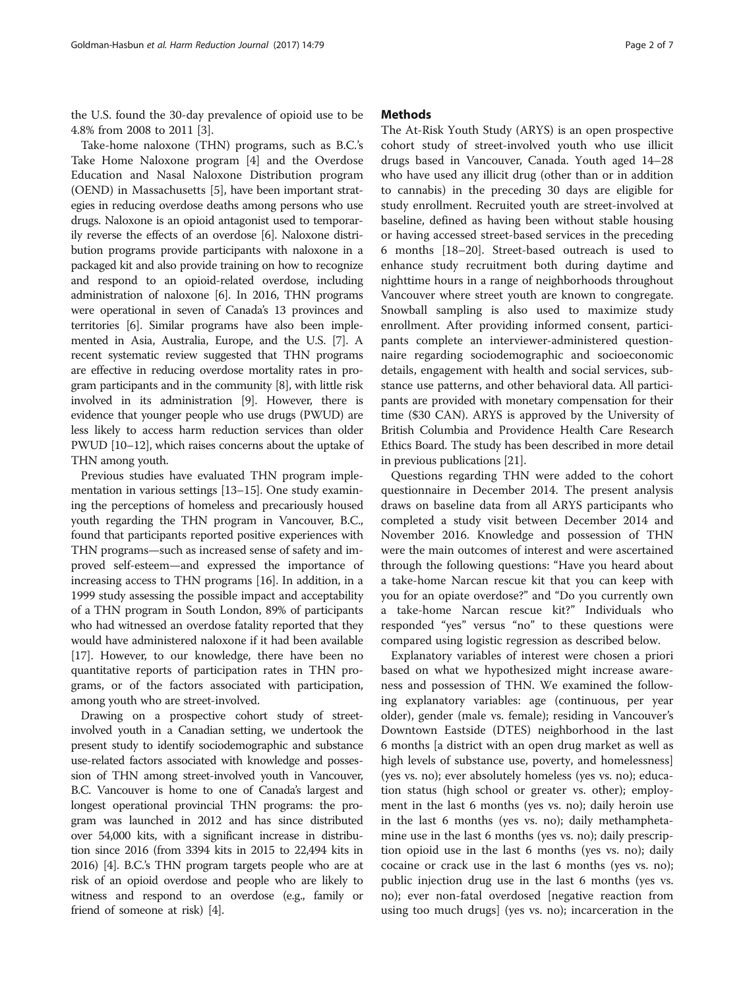the U.S. found the 30-day prevalence of opioid use to be 4.8% from 2008 to 2011 [[3\]](#page-6-0).

Take-home naloxone (THN) programs, such as B.C.'s Take Home Naloxone program [[4\]](#page-6-0) and the Overdose Education and Nasal Naloxone Distribution program (OEND) in Massachusetts [\[5\]](#page-6-0), have been important strategies in reducing overdose deaths among persons who use drugs. Naloxone is an opioid antagonist used to temporarily reverse the effects of an overdose [[6\]](#page-6-0). Naloxone distribution programs provide participants with naloxone in a packaged kit and also provide training on how to recognize and respond to an opioid-related overdose, including administration of naloxone [[6](#page-6-0)]. In 2016, THN programs were operational in seven of Canada's 13 provinces and territories [\[6\]](#page-6-0). Similar programs have also been implemented in Asia, Australia, Europe, and the U.S. [[7](#page-6-0)]. A recent systematic review suggested that THN programs are effective in reducing overdose mortality rates in program participants and in the community [\[8\]](#page-6-0), with little risk involved in its administration [\[9\]](#page-6-0). However, there is evidence that younger people who use drugs (PWUD) are less likely to access harm reduction services than older PWUD [[10](#page-6-0)–[12](#page-6-0)], which raises concerns about the uptake of THN among youth.

Previous studies have evaluated THN program implementation in various settings [[13](#page-6-0)–[15\]](#page-6-0). One study examining the perceptions of homeless and precariously housed youth regarding the THN program in Vancouver, B.C., found that participants reported positive experiences with THN programs—such as increased sense of safety and improved self-esteem—and expressed the importance of increasing access to THN programs [[16](#page-6-0)]. In addition, in a 1999 study assessing the possible impact and acceptability of a THN program in South London, 89% of participants who had witnessed an overdose fatality reported that they would have administered naloxone if it had been available [[17](#page-6-0)]. However, to our knowledge, there have been no quantitative reports of participation rates in THN programs, or of the factors associated with participation, among youth who are street-involved.

Drawing on a prospective cohort study of streetinvolved youth in a Canadian setting, we undertook the present study to identify sociodemographic and substance use-related factors associated with knowledge and possession of THN among street-involved youth in Vancouver, B.C. Vancouver is home to one of Canada's largest and longest operational provincial THN programs: the program was launched in 2012 and has since distributed over 54,000 kits, with a significant increase in distribution since 2016 (from 3394 kits in 2015 to 22,494 kits in 2016) [[4](#page-6-0)]. B.C.'s THN program targets people who are at risk of an opioid overdose and people who are likely to witness and respond to an overdose (e.g., family or friend of someone at risk) [[4](#page-6-0)].

## **Methods**

The At-Risk Youth Study (ARYS) is an open prospective cohort study of street-involved youth who use illicit drugs based in Vancouver, Canada. Youth aged 14–28 who have used any illicit drug (other than or in addition to cannabis) in the preceding 30 days are eligible for study enrollment. Recruited youth are street-involved at baseline, defined as having been without stable housing or having accessed street-based services in the preceding 6 months [[18](#page-6-0)–[20](#page-6-0)]. Street-based outreach is used to enhance study recruitment both during daytime and nighttime hours in a range of neighborhoods throughout Vancouver where street youth are known to congregate. Snowball sampling is also used to maximize study enrollment. After providing informed consent, participants complete an interviewer-administered questionnaire regarding sociodemographic and socioeconomic details, engagement with health and social services, substance use patterns, and other behavioral data. All participants are provided with monetary compensation for their time (\$30 CAN). ARYS is approved by the University of British Columbia and Providence Health Care Research Ethics Board. The study has been described in more detail in previous publications [\[21\]](#page-6-0).

Questions regarding THN were added to the cohort questionnaire in December 2014. The present analysis draws on baseline data from all ARYS participants who completed a study visit between December 2014 and November 2016. Knowledge and possession of THN were the main outcomes of interest and were ascertained through the following questions: "Have you heard about a take-home Narcan rescue kit that you can keep with you for an opiate overdose?" and "Do you currently own a take-home Narcan rescue kit?" Individuals who responded "yes" versus "no" to these questions were compared using logistic regression as described below.

Explanatory variables of interest were chosen a priori based on what we hypothesized might increase awareness and possession of THN. We examined the following explanatory variables: age (continuous, per year older), gender (male vs. female); residing in Vancouver's Downtown Eastside (DTES) neighborhood in the last 6 months [a district with an open drug market as well as high levels of substance use, poverty, and homelessness (yes vs. no); ever absolutely homeless (yes vs. no); education status (high school or greater vs. other); employment in the last 6 months (yes vs. no); daily heroin use in the last 6 months (yes vs. no); daily methamphetamine use in the last 6 months (yes vs. no); daily prescription opioid use in the last 6 months (yes vs. no); daily cocaine or crack use in the last 6 months (yes vs. no); public injection drug use in the last 6 months (yes vs. no); ever non-fatal overdosed [negative reaction from using too much drugs] (yes vs. no); incarceration in the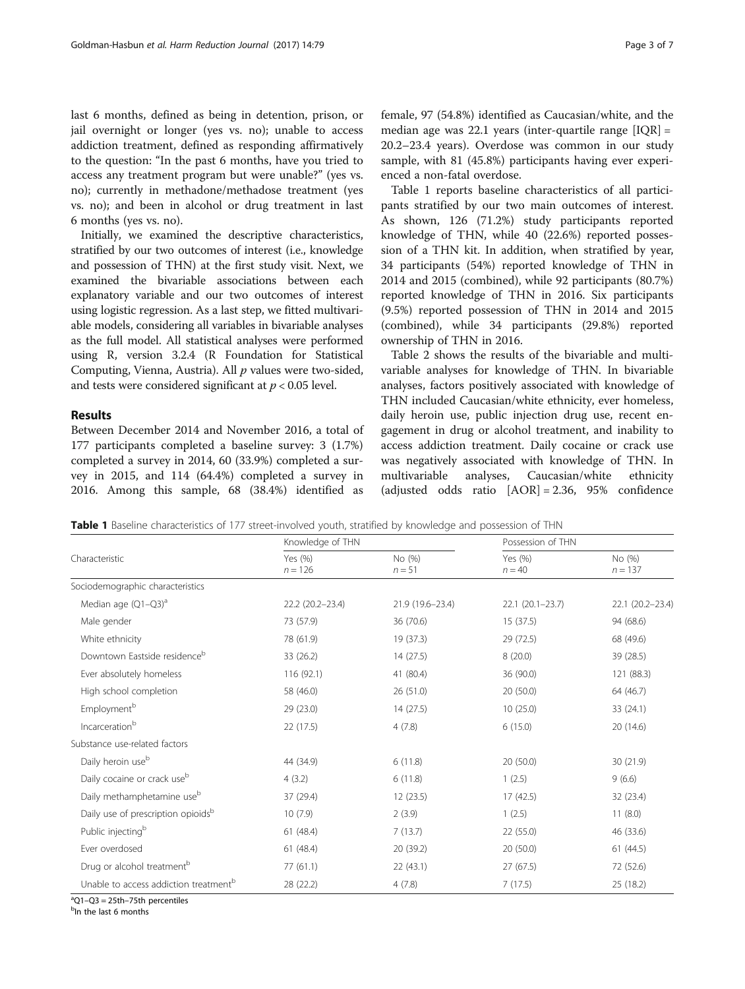last 6 months, defined as being in detention, prison, or jail overnight or longer (yes vs. no); unable to access addiction treatment, defined as responding affirmatively to the question: "In the past 6 months, have you tried to access any treatment program but were unable?" (yes vs. no); currently in methadone/methadose treatment (yes vs. no); and been in alcohol or drug treatment in last 6 months (yes vs. no).

Initially, we examined the descriptive characteristics, stratified by our two outcomes of interest (i.e., knowledge and possession of THN) at the first study visit. Next, we examined the bivariable associations between each explanatory variable and our two outcomes of interest using logistic regression. As a last step, we fitted multivariable models, considering all variables in bivariable analyses as the full model. All statistical analyses were performed using R, version 3.2.4 (R Foundation for Statistical Computing, Vienna, Austria). All  $p$  values were two-sided, and tests were considered significant at  $p < 0.05$  level.

## Results

Between December 2014 and November 2016, a total of 177 participants completed a baseline survey: 3 (1.7%) completed a survey in 2014, 60 (33.9%) completed a survey in 2015, and 114 (64.4%) completed a survey in 2016. Among this sample, 68 (38.4%) identified as female, 97 (54.8%) identified as Caucasian/white, and the median age was 22.1 years (inter-quartile range  $[IQR] =$ 20.2–23.4 years). Overdose was common in our study sample, with 81 (45.8%) participants having ever experienced a non-fatal overdose.

Table 1 reports baseline characteristics of all participants stratified by our two main outcomes of interest. As shown, 126 (71.2%) study participants reported knowledge of THN, while 40 (22.6%) reported possession of a THN kit. In addition, when stratified by year, 34 participants (54%) reported knowledge of THN in 2014 and 2015 (combined), while 92 participants (80.7%) reported knowledge of THN in 2016. Six participants (9.5%) reported possession of THN in 2014 and 2015 (combined), while 34 participants (29.8%) reported ownership of THN in 2016.

Table [2](#page-3-0) shows the results of the bivariable and multivariable analyses for knowledge of THN. In bivariable analyses, factors positively associated with knowledge of THN included Caucasian/white ethnicity, ever homeless, daily heroin use, public injection drug use, recent engagement in drug or alcohol treatment, and inability to access addiction treatment. Daily cocaine or crack use was negatively associated with knowledge of THN. In multivariable analyses, Caucasian/white ethnicity (adjusted odds ratio [AOR] = 2.36, 95% confidence

Table 1 Baseline characteristics of 177 street-involved youth, stratified by knowledge and possession of THN

| Characteristic                                    | Knowledge of THN     |                    | Possession of THN   |                     |  |
|---------------------------------------------------|----------------------|--------------------|---------------------|---------------------|--|
|                                                   | Yes (%)<br>$n = 126$ | No (%)<br>$n = 51$ | Yes (%)<br>$n = 40$ | No (%)<br>$n = 137$ |  |
| Sociodemographic characteristics                  |                      |                    |                     |                     |  |
| Median age (Q1-Q3) <sup>a</sup>                   | 22.2 (20.2-23.4)     | 21.9 (19.6-23.4)   | $22.1(20.1-23.7)$   | 22.1 (20.2-23.4)    |  |
| Male gender                                       | 73 (57.9)            | 36 (70.6)          | 15(37.5)            | 94 (68.6)           |  |
| White ethnicity                                   | 78 (61.9)            | 19 (37.3)          | 29 (72.5)           | 68 (49.6)           |  |
| Downtown Eastside residence <sup>b</sup>          | 33 (26.2)            | 14(27.5)           | 8(20.0)             | 39 (28.5)           |  |
| Ever absolutely homeless                          | 116 (92.1)           | 41 (80.4)          | 36 (90.0)           | 121 (88.3)          |  |
| High school completion                            | 58 (46.0)            | 26(51.0)           | 20(50.0)            | 64 (46.7)           |  |
| Employment <sup>b</sup>                           | 29 (23.0)            | 14(27.5)           | 10(25.0)            | 33 (24.1)           |  |
| Incarceration <sup>b</sup>                        | 22 (17.5)            | 4(7.8)             | 6(15.0)             | 20 (14.6)           |  |
| Substance use-related factors                     |                      |                    |                     |                     |  |
| Daily heroin use <sup>b</sup>                     | 44 (34.9)            | 6(11.8)            | 20(50.0)            | 30 (21.9)           |  |
| Daily cocaine or crack use <sup>b</sup>           | 4(3.2)               | 6(11.8)            | 1(2.5)              | 9(6.6)              |  |
| Daily methamphetamine use <sup>b</sup>            | 37 (29.4)            | 12(23.5)           | 17(42.5)            | 32 (23.4)           |  |
| Daily use of prescription opioidsb                | 10(7.9)              | 2(3.9)             | 1(2.5)              | 11(8.0)             |  |
| Public injecting <sup>b</sup>                     | 61(48.4)             | 7(13.7)            | 22 (55.0)           | 46 (33.6)           |  |
| Ever overdosed                                    | 61(48.4)             | 20 (39.2)          | 20(50.0)            | 61(44.5)            |  |
| Drug or alcohol treatment <sup>b</sup>            | 77(61.1)             | 22 (43.1)          | 27 (67.5)           | 72 (52.6)           |  |
| Unable to access addiction treatment <sup>b</sup> | 28 (22.2)            | 4(7.8)             | 7(17.5)             | 25 (18.2)           |  |
| $^{\circ}$ O1-O3 = 25th-75th percentiles          |                      |                    |                     |                     |  |

<sup>b</sup>In the last 6 months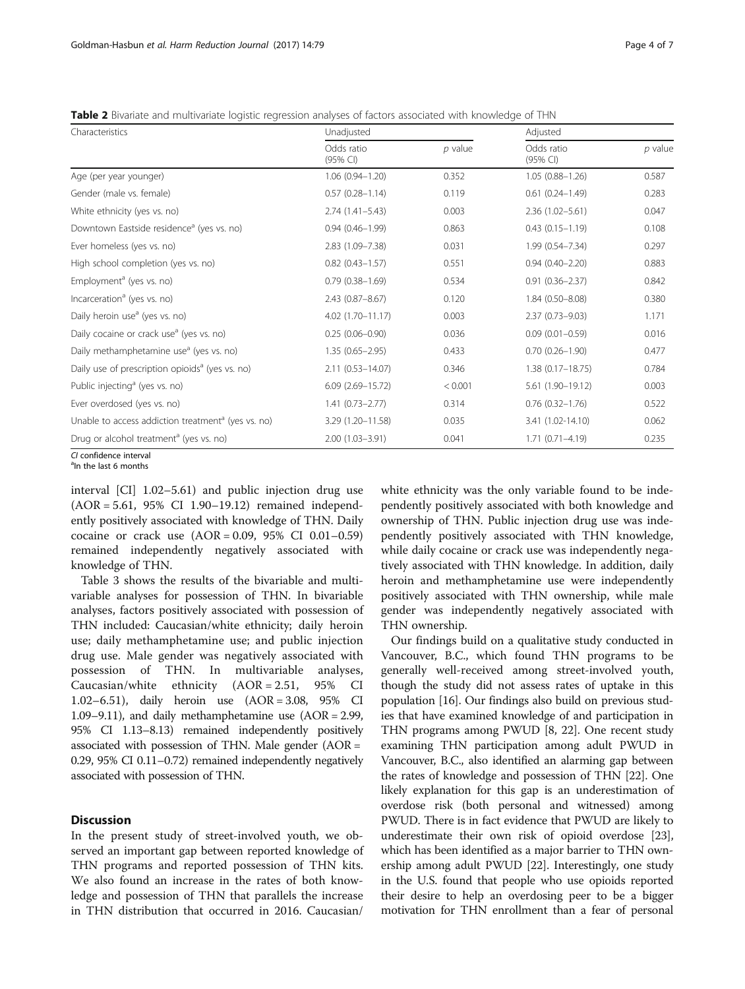<span id="page-3-0"></span>Table 2 Bivariate and multivariate logistic regression analyses of factors associated with knowledge of THN

| Characteristics                                                | Unadjusted              |           | Adjusted               |           |
|----------------------------------------------------------------|-------------------------|-----------|------------------------|-----------|
|                                                                | Odds ratio<br>(95% Cl)  | $p$ value | Odds ratio<br>(95% CI) | $p$ value |
| Age (per year younger)                                         | $1.06(0.94 - 1.20)$     | 0.352     | $1.05(0.88 - 1.26)$    | 0.587     |
| Gender (male vs. female)                                       | $0.57(0.28 - 1.14)$     | 0.119     | $0.61(0.24 - 1.49)$    | 0.283     |
| White ethnicity (yes vs. no)                                   | $2.74(1.41 - 5.43)$     | 0.003     | $2.36(1.02 - 5.61)$    | 0.047     |
| Downtown Eastside residence <sup>a</sup> (yes vs. no)          | $0.94(0.46 - 1.99)$     | 0.863     | $0.43(0.15 - 1.19)$    | 0.108     |
| Ever homeless (yes vs. no)                                     | 2.83 (1.09-7.38)        | 0.031     | 1.99 (0.54-7.34)       | 0.297     |
| High school completion (yes vs. no)                            | $0.82(0.43 - 1.57)$     | 0.551     | $0.94(0.40 - 2.20)$    | 0.883     |
| Employment <sup>a</sup> (yes vs. no)                           | $0.79(0.38 - 1.69)$     | 0.534     | $0.91(0.36 - 2.37)$    | 0.842     |
| Incarceration <sup>a</sup> (yes vs. no)                        | $2.43(0.87 - 8.67)$     | 0.120     | $1.84(0.50 - 8.08)$    | 0.380     |
| Daily heroin use <sup>a</sup> (yes vs. no)                     | 4.02 (1.70-11.17)       | 0.003     | $2.37(0.73 - 9.03)$    | 1.171     |
| Daily cocaine or crack use <sup>a</sup> (yes vs. no)           | $0.25(0.06 - 0.90)$     | 0.036     | $0.09(0.01 - 0.59)$    | 0.016     |
| Daily methamphetamine use <sup>a</sup> (yes vs. no)            | $1.35(0.65 - 2.95)$     | 0.433     | $0.70(0.26 - 1.90)$    | 0.477     |
| Daily use of prescription opioids <sup>a</sup> (yes vs. no)    | $2.11(0.53 - 14.07)$    | 0.346     | $1.38(0.17 - 18.75)$   | 0.784     |
| Public injecting <sup>a</sup> (yes vs. no)                     | $6.09$ $(2.69 - 15.72)$ | < 0.001   | 5.61 (1.90-19.12)      | 0.003     |
| Ever overdosed (yes vs. no)                                    | $1.41(0.73 - 2.77)$     | 0.314     | $0.76(0.32 - 1.76)$    | 0.522     |
| Unable to access addiction treatment <sup>a</sup> (yes vs. no) | 3.29 (1.20-11.58)       | 0.035     | 3.41 (1.02-14.10)      | 0.062     |
| Drug or alcohol treatment <sup>a</sup> (yes vs. no)            | 2.00 (1.03-3.91)        | 0.041     | $1.71(0.71 - 4.19)$    | 0.235     |

 $C1$  confidence interval  $<sup>a</sup>$ In the last 6 months</sup>

interval [CI] 1.02–5.61) and public injection drug use (AOR = 5.61, 95% CI 1.90–19.12) remained independently positively associated with knowledge of THN. Daily cocaine or crack use (AOR = 0.09, 95% CI 0.01–0.59) remained independently negatively associated with knowledge of THN.

Table [3](#page-4-0) shows the results of the bivariable and multivariable analyses for possession of THN. In bivariable analyses, factors positively associated with possession of THN included: Caucasian/white ethnicity; daily heroin use; daily methamphetamine use; and public injection drug use. Male gender was negatively associated with possession of THN. In multivariable analyses, Caucasian/white ethnicity (AOR = 2.51, 95% CI 1.02–6.51), daily heroin use (AOR = 3.08, 95% CI 1.09–9.11), and daily methamphetamine use (AOR = 2.99, 95% CI 1.13–8.13) remained independently positively associated with possession of THN. Male gender (AOR = 0.29, 95% CI 0.11–0.72) remained independently negatively associated with possession of THN.

## **Discussion**

In the present study of street-involved youth, we observed an important gap between reported knowledge of THN programs and reported possession of THN kits. We also found an increase in the rates of both knowledge and possession of THN that parallels the increase in THN distribution that occurred in 2016. Caucasian/ white ethnicity was the only variable found to be independently positively associated with both knowledge and ownership of THN. Public injection drug use was independently positively associated with THN knowledge, while daily cocaine or crack use was independently negatively associated with THN knowledge. In addition, daily heroin and methamphetamine use were independently positively associated with THN ownership, while male gender was independently negatively associated with THN ownership.

Our findings build on a qualitative study conducted in Vancouver, B.C., which found THN programs to be generally well-received among street-involved youth, though the study did not assess rates of uptake in this population [\[16\]](#page-6-0). Our findings also build on previous studies that have examined knowledge of and participation in THN programs among PWUD [\[8](#page-6-0), [22\]](#page-6-0). One recent study examining THN participation among adult PWUD in Vancouver, B.C., also identified an alarming gap between the rates of knowledge and possession of THN [\[22\]](#page-6-0). One likely explanation for this gap is an underestimation of overdose risk (both personal and witnessed) among PWUD. There is in fact evidence that PWUD are likely to underestimate their own risk of opioid overdose [[23](#page-6-0)], which has been identified as a major barrier to THN ownership among adult PWUD [\[22](#page-6-0)]. Interestingly, one study in the U.S. found that people who use opioids reported their desire to help an overdosing peer to be a bigger motivation for THN enrollment than a fear of personal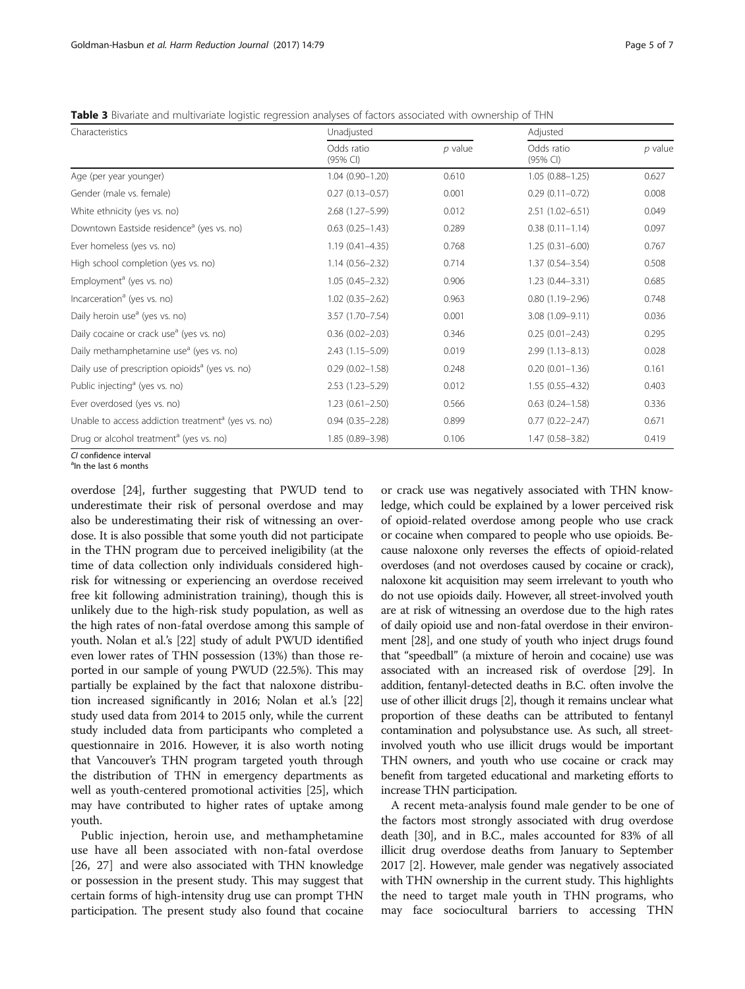<span id="page-4-0"></span>

| <b>Table 3</b> Bivariate and multivariate logistic regression analyses of factors associated with ownership of THN |  |  |
|--------------------------------------------------------------------------------------------------------------------|--|--|
|                                                                                                                    |  |  |

| Characteristics                                                | Unadjusted             |           | Adjusted               |           |
|----------------------------------------------------------------|------------------------|-----------|------------------------|-----------|
|                                                                | Odds ratio<br>(95% CI) | $p$ value | Odds ratio<br>(95% CI) | $p$ value |
| Age (per year younger)                                         | $1.04(0.90 - 1.20)$    | 0.610     | $1.05(0.88 - 1.25)$    | 0.627     |
| Gender (male vs. female)                                       | $0.27(0.13 - 0.57)$    | 0.001     | $0.29(0.11 - 0.72)$    | 0.008     |
| White ethnicity (yes vs. no)                                   | $2.68(1.27 - 5.99)$    | 0.012     | $2.51(1.02 - 6.51)$    | 0.049     |
| Downtown Eastside residence <sup>a</sup> (yes vs. no)          | $0.63(0.25 - 1.43)$    | 0.289     | $0.38(0.11 - 1.14)$    | 0.097     |
| Ever homeless (yes vs. no)                                     | $1.19(0.41 - 4.35)$    | 0.768     | $1.25(0.31 - 6.00)$    | 0.767     |
| High school completion (yes vs. no)                            | $1.14(0.56 - 2.32)$    | 0.714     | $1.37(0.54 - 3.54)$    | 0.508     |
| Employment <sup>a</sup> (yes vs. no)                           | $1.05(0.45 - 2.32)$    | 0.906     | $1.23(0.44 - 3.31)$    | 0.685     |
| Incarceration <sup>a</sup> (yes vs. no)                        | $1.02(0.35 - 2.62)$    | 0.963     | $0.80(1.19 - 2.96)$    | 0.748     |
| Daily heroin use <sup>a</sup> (yes vs. no)                     | 3.57 (1.70-7.54)       | 0.001     | 3.08 (1.09-9.11)       | 0.036     |
| Daily cocaine or crack use <sup>a</sup> (yes vs. no)           | $0.36(0.02 - 2.03)$    | 0.346     | $0.25(0.01 - 2.43)$    | 0.295     |
| Daily methamphetamine use <sup>a</sup> (yes vs. no)            | 2.43 (1.15-5.09)       | 0.019     | $2.99(1.13 - 8.13)$    | 0.028     |
| Daily use of prescription opioids <sup>a</sup> (yes vs. no)    | $0.29(0.02 - 1.58)$    | 0.248     | $0.20(0.01 - 1.36)$    | 0.161     |
| Public injecting <sup>a</sup> (yes vs. no)                     | $2.53(1.23 - 5.29)$    | 0.012     | $1.55(0.55 - 4.32)$    | 0.403     |
| Ever overdosed (yes vs. no)                                    | $1.23(0.61 - 2.50)$    | 0.566     | $0.63$ $(0.24 - 1.58)$ | 0.336     |
| Unable to access addiction treatment <sup>a</sup> (yes vs. no) | $0.94(0.35 - 2.28)$    | 0.899     | $0.77(0.22 - 2.47)$    | 0.671     |
| Drug or alcohol treatment <sup>a</sup> (yes vs. no)            | 1.85 (0.89-3.98)       | 0.106     | 1.47 (0.58-3.82)       | 0.419     |
| CL confidence interval                                         |                        |           |                        |           |

 $<sup>a</sup>$ In the last 6 months</sup>

overdose [\[24\]](#page-6-0), further suggesting that PWUD tend to underestimate their risk of personal overdose and may also be underestimating their risk of witnessing an overdose. It is also possible that some youth did not participate in the THN program due to perceived ineligibility (at the time of data collection only individuals considered highrisk for witnessing or experiencing an overdose received free kit following administration training), though this is unlikely due to the high-risk study population, as well as the high rates of non-fatal overdose among this sample of youth. Nolan et al.'s [\[22\]](#page-6-0) study of adult PWUD identified even lower rates of THN possession (13%) than those reported in our sample of young PWUD (22.5%). This may partially be explained by the fact that naloxone distribution increased significantly in 2016; Nolan et al.'s [[22](#page-6-0)] study used data from 2014 to 2015 only, while the current study included data from participants who completed a questionnaire in 2016. However, it is also worth noting that Vancouver's THN program targeted youth through the distribution of THN in emergency departments as well as youth-centered promotional activities [[25](#page-6-0)], which may have contributed to higher rates of uptake among youth.

Public injection, heroin use, and methamphetamine use have all been associated with non-fatal overdose [[26, 27](#page-6-0)] and were also associated with THN knowledge or possession in the present study. This may suggest that certain forms of high-intensity drug use can prompt THN participation. The present study also found that cocaine

or crack use was negatively associated with THN knowledge, which could be explained by a lower perceived risk of opioid-related overdose among people who use crack or cocaine when compared to people who use opioids. Because naloxone only reverses the effects of opioid-related overdoses (and not overdoses caused by cocaine or crack), naloxone kit acquisition may seem irrelevant to youth who do not use opioids daily. However, all street-involved youth are at risk of witnessing an overdose due to the high rates of daily opioid use and non-fatal overdose in their environment [\[28\]](#page-6-0), and one study of youth who inject drugs found that "speedball" (a mixture of heroin and cocaine) use was associated with an increased risk of overdose [[29\]](#page-6-0). In addition, fentanyl-detected deaths in B.C. often involve the use of other illicit drugs [\[2\]](#page-6-0), though it remains unclear what proportion of these deaths can be attributed to fentanyl contamination and polysubstance use. As such, all streetinvolved youth who use illicit drugs would be important THN owners, and youth who use cocaine or crack may benefit from targeted educational and marketing efforts to increase THN participation.

A recent meta-analysis found male gender to be one of the factors most strongly associated with drug overdose death [\[30\]](#page-6-0), and in B.C., males accounted for 83% of all illicit drug overdose deaths from January to September 2017 [\[2](#page-6-0)]. However, male gender was negatively associated with THN ownership in the current study. This highlights the need to target male youth in THN programs, who may face sociocultural barriers to accessing THN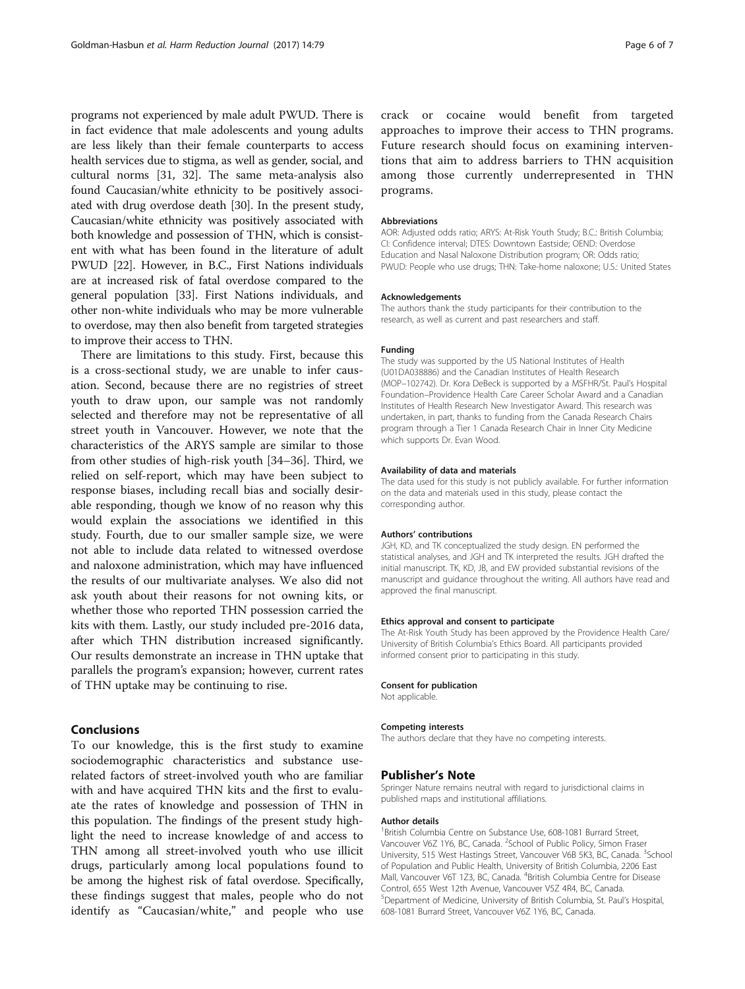programs not experienced by male adult PWUD. There is in fact evidence that male adolescents and young adults are less likely than their female counterparts to access health services due to stigma, as well as gender, social, and cultural norms [\[31, 32\]](#page-6-0). The same meta-analysis also found Caucasian/white ethnicity to be positively associated with drug overdose death [[30](#page-6-0)]. In the present study, Caucasian/white ethnicity was positively associated with both knowledge and possession of THN, which is consistent with what has been found in the literature of adult PWUD [[22](#page-6-0)]. However, in B.C., First Nations individuals are at increased risk of fatal overdose compared to the general population [\[33\]](#page-6-0). First Nations individuals, and other non-white individuals who may be more vulnerable to overdose, may then also benefit from targeted strategies to improve their access to THN.

There are limitations to this study. First, because this is a cross-sectional study, we are unable to infer causation. Second, because there are no registries of street youth to draw upon, our sample was not randomly selected and therefore may not be representative of all street youth in Vancouver. However, we note that the characteristics of the ARYS sample are similar to those from other studies of high-risk youth [[34](#page-6-0)–[36](#page-6-0)]. Third, we relied on self-report, which may have been subject to response biases, including recall bias and socially desirable responding, though we know of no reason why this would explain the associations we identified in this study. Fourth, due to our smaller sample size, we were not able to include data related to witnessed overdose and naloxone administration, which may have influenced the results of our multivariate analyses. We also did not ask youth about their reasons for not owning kits, or whether those who reported THN possession carried the kits with them. Lastly, our study included pre-2016 data, after which THN distribution increased significantly. Our results demonstrate an increase in THN uptake that parallels the program's expansion; however, current rates of THN uptake may be continuing to rise.

# Conclusions

To our knowledge, this is the first study to examine sociodemographic characteristics and substance userelated factors of street-involved youth who are familiar with and have acquired THN kits and the first to evaluate the rates of knowledge and possession of THN in this population. The findings of the present study highlight the need to increase knowledge of and access to THN among all street-involved youth who use illicit drugs, particularly among local populations found to be among the highest risk of fatal overdose. Specifically, these findings suggest that males, people who do not identify as "Caucasian/white," and people who use

crack or cocaine would benefit from targeted approaches to improve their access to THN programs. Future research should focus on examining interventions that aim to address barriers to THN acquisition among those currently underrepresented in THN programs.

#### Abbreviations

AOR: Adjusted odds ratio; ARYS: At-Risk Youth Study; B.C.: British Columbia; CI: Confidence interval; DTES: Downtown Eastside; OEND: Overdose Education and Nasal Naloxone Distribution program; OR: Odds ratio; PWUD: People who use drugs; THN: Take-home naloxone; U.S.: United States

#### Acknowledgements

The authors thank the study participants for their contribution to the research, as well as current and past researchers and staff.

#### Funding

The study was supported by the US National Institutes of Health (U01DA038886) and the Canadian Institutes of Health Research (MOP–102742). Dr. Kora DeBeck is supported by a MSFHR/St. Paul's Hospital Foundation–Providence Health Care Career Scholar Award and a Canadian Institutes of Health Research New Investigator Award. This research was undertaken, in part, thanks to funding from the Canada Research Chairs program through a Tier 1 Canada Research Chair in Inner City Medicine which supports Dr. Evan Wood.

#### Availability of data and materials

The data used for this study is not publicly available. For further information on the data and materials used in this study, please contact the corresponding author.

#### Authors' contributions

JGH, KD, and TK conceptualized the study design. EN performed the statistical analyses, and JGH and TK interpreted the results. JGH drafted the initial manuscript. TK, KD, JB, and EW provided substantial revisions of the manuscript and guidance throughout the writing. All authors have read and approved the final manuscript.

#### Ethics approval and consent to participate

The At-Risk Youth Study has been approved by the Providence Health Care/ University of British Columbia's Ethics Board. All participants provided informed consent prior to participating in this study.

#### Consent for publication

Not applicable.

#### Competing interests

The authors declare that they have no competing interests.

## Publisher's Note

Springer Nature remains neutral with regard to jurisdictional claims in published maps and institutional affiliations.

#### Author details

<sup>1</sup> British Columbia Centre on Substance Use, 608-1081 Burrard Street, Vancouver V6Z 1Y6, BC, Canada. <sup>2</sup>School of Public Policy, Simon Fraser University, 515 West Hastings Street, Vancouver V6B 5K3, BC, Canada. <sup>3</sup>School of Population and Public Health, University of British Columbia, 2206 East Mall, Vancouver V6T 1Z3, BC, Canada. <sup>4</sup>British Columbia Centre for Disease Control, 655 West 12th Avenue, Vancouver V5Z 4R4, BC, Canada. 5 Department of Medicine, University of British Columbia, St. Paul's Hospital, 608-1081 Burrard Street, Vancouver V6Z 1Y6, BC, Canada.